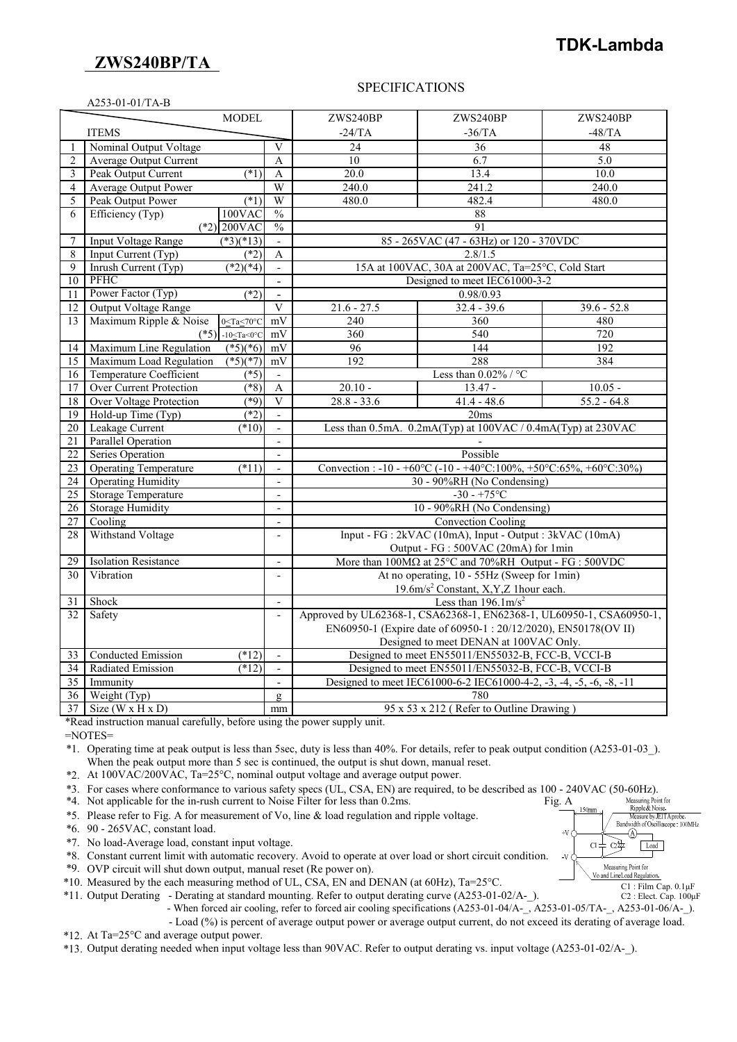## **ZWS240BP/TA**

# **TDK-Lambda**

#### SPECIFICATIONS

|                 | A253-01-01/TA-B                |                               |                               |                                                                                |               |               |  |  |  |  |
|-----------------|--------------------------------|-------------------------------|-------------------------------|--------------------------------------------------------------------------------|---------------|---------------|--|--|--|--|
|                 |                                | <b>MODEL</b>                  |                               | ZWS240BP                                                                       | ZWS240BP      | ZWS240BP      |  |  |  |  |
|                 | <b>ITEMS</b>                   |                               |                               | $-24/TA$                                                                       | $-36/TA$      | $-48/TA$      |  |  |  |  |
| 1               | Nominal Output Voltage         |                               | V                             | 24                                                                             | 36            | 48            |  |  |  |  |
| $\overline{2}$  | Average Output Current         |                               | $\overline{A}$                | 10                                                                             | 6.7           | 5.0           |  |  |  |  |
| 3               | Peak Output Current            | $(*1)$                        | A                             | 20.0                                                                           | 13.4          | 10.0          |  |  |  |  |
| $\overline{4}$  | <b>Average Output Power</b>    |                               | W                             | 240.0                                                                          | 241.2         | 240.0         |  |  |  |  |
| 5               | Peak Output Power              | (1)                           | W                             | 480.0                                                                          | 482.4         | 480.0         |  |  |  |  |
| 6               | Efficiency (Typ)               | 100VAC                        | $\sqrt[0]{\mathstrut}_{0}$    |                                                                                | 88            |               |  |  |  |  |
|                 | $(*2)$ 200VAC                  |                               |                               | 91                                                                             |               |               |  |  |  |  |
| $\overline{7}$  | <b>Input Voltage Range</b>     | $(*3)(*13)$                   | $\frac{0}{0}$<br>$\mathbf{r}$ | 85 - 265VAC (47 - 63Hz) or 120 - 370VDC                                        |               |               |  |  |  |  |
| 8               | Input Current (Typ)            | $\overline{(^*2)}$            | A                             | 2.8/1.5                                                                        |               |               |  |  |  |  |
| 9               | Inrush Current (Typ)           | $\sqrt{(*2)(*4)}$             |                               | 15A at 100VAC, 30A at 200VAC, Ta=25°C, Cold Start                              |               |               |  |  |  |  |
| 10              | <b>PFHC</b>                    |                               | $\blacksquare$                | Designed to meet IEC61000-3-2                                                  |               |               |  |  |  |  |
| 11              | Power Factor (Typ)             | $(*2)$                        | $\blacksquare$                | 0.98/0.93                                                                      |               |               |  |  |  |  |
| 12              | Output Voltage Range           |                               | $\overline{\mathbf{V}}$       | $21.6 - 27.5$                                                                  | $32.4 - 39.6$ | $39.6 - 52.8$ |  |  |  |  |
| 13              | Maximum Ripple & Noise         | $0 \leq Ta \leq 70^{\circ}C$  | mV                            | 240                                                                            | 360           | 480           |  |  |  |  |
|                 | $(*5)$                         | $-10 \leq Ta \leq 0^{\circ}C$ | mV                            | 360                                                                            | 540           | 720           |  |  |  |  |
| 14              | Maximum Line Regulation        | $(*5)(*6)$                    | mV                            | 96                                                                             | 144           | 192           |  |  |  |  |
| 15              | Maximum Load Regulation        | $(*5)(*7)$                    | mV                            | 192                                                                            | 288           | 384           |  |  |  |  |
| 16              | Temperature Coefficient        | $(*5)$                        |                               | Less than $0.02\%$ / °C                                                        |               |               |  |  |  |  |
| 17              | <b>Over Current Protection</b> | $(\overline{$}8)$             | A                             | $20.10 -$                                                                      | $13.47 -$     | $10.05 -$     |  |  |  |  |
| 18              | <b>Over Voltage Protection</b> | (89)                          | $\overline{\mathbf{V}}$       | $28.8 - 33.6$                                                                  | $41.4 - 48.6$ | $55.2 - 64.8$ |  |  |  |  |
| 19              | Hold-up Time (Typ)             | $(*2)$                        | $\mathbf{r}$                  | 20ms                                                                           |               |               |  |  |  |  |
| 20              | Leakage Current                | (10)                          | $\blacksquare$                | Less than 0.5mA. 0.2mA(Typ) at 100VAC / 0.4mA(Typ) at 230VAC                   |               |               |  |  |  |  |
| $\overline{21}$ | <b>Parallel Operation</b>      |                               |                               |                                                                                |               |               |  |  |  |  |
| $\overline{22}$ | Series Operation               |                               | $\blacksquare$                | Possible                                                                       |               |               |  |  |  |  |
| $\overline{23}$ | <b>Operating Temperature</b>   | $(*11)$                       | $\overline{\phantom{a}}$      | Convection : -10 - +60°C (-10 - +40°C:100%, +50°C:65%, +60°C:30%)              |               |               |  |  |  |  |
| 24              | <b>Operating Humidity</b>      |                               | $\overline{a}$                | 30 - 90%RH (No Condensing)                                                     |               |               |  |  |  |  |
| 25              | <b>Storage Temperature</b>     |                               | $\overline{\phantom{a}}$      | $-30 - +75$ °C                                                                 |               |               |  |  |  |  |
| 26              | <b>Storage Humidity</b>        |                               | $\overline{a}$                | 10 - 90%RH (No Condensing)                                                     |               |               |  |  |  |  |
| $\overline{27}$ | Cooling                        |                               | $\overline{\phantom{a}}$      | <b>Convection Cooling</b>                                                      |               |               |  |  |  |  |
| 28              | Withstand Voltage              |                               | $\blacksquare$                | Input - FG : 2kVAC (10mA), Input - Output : 3kVAC (10mA)                       |               |               |  |  |  |  |
|                 |                                |                               |                               | Output - FG : 500VAC (20mA) for 1min                                           |               |               |  |  |  |  |
| 29              | <b>Isolation Resistance</b>    |                               | $\blacksquare$                | More than $100M\Omega$ at $25^{\circ}$ C and $70\%$ RH Output - FG : $500$ VDC |               |               |  |  |  |  |
| 30              | Vibration                      |                               | $\overline{a}$                | At no operating, 10 - 55Hz (Sweep for 1min)                                    |               |               |  |  |  |  |
|                 |                                |                               |                               | 19.6m/s <sup>2</sup> Constant, X, Y, Z 1 hour each.                            |               |               |  |  |  |  |
| 31              | Shock                          |                               | $\overline{a}$                | Less than $196.1 \text{m/s}^2$                                                 |               |               |  |  |  |  |
| 32              | Safety                         |                               |                               | Approved by UL62368-1, CSA62368-1, EN62368-1, UL60950-1, CSA60950-1,           |               |               |  |  |  |  |
|                 |                                |                               |                               | EN60950-1 (Expire date of 60950-1:20/12/2020), EN50178(OV II)                  |               |               |  |  |  |  |
|                 |                                |                               |                               | Designed to meet DENAN at 100VAC Only.                                         |               |               |  |  |  |  |
| 33              | <b>Conducted Emission</b>      | $(*12)$                       |                               | Designed to meet EN55011/EN55032-B, FCC-B, VCCI-B                              |               |               |  |  |  |  |
| 34              | Radiated Emission              | $(*12)$                       | $\overline{\phantom{a}}$      | Designed to meet EN55011/EN55032-B, FCC-B, VCCI-B                              |               |               |  |  |  |  |
| $\overline{35}$ | Immunity                       |                               |                               | Designed to meet IEC61000-6-2 IEC61000-4-2, -3, -4, -5, -6, -8, -11            |               |               |  |  |  |  |
| $\overline{36}$ | Weight (Typ)                   |                               | Q.                            | 780                                                                            |               |               |  |  |  |  |
| 37 <sup>1</sup> | Size ( $W \times H \times D$ ) |                               | mm                            | 95 x 53 x 212 (Refer to Outline Drawing)                                       |               |               |  |  |  |  |

\*Read instruction manual carefully, before using the power supply unit.

=NOTES=

\*1. Operating time at peak output is less than 5sec, duty is less than 40%. For details, refer to peak output condition (A253-01-03\_). When the peak output more than 5 sec is continued, the output is shut down, manual reset.

\*2. At 100VAC/200VAC, Ta=25°C, nominal output voltage and average output power.

\*3. For cases where conformance to various safety specs (UL, CSA, EN) are required, to be described as 100 - 240VAC (50-60Hz).

\*4. Not applicable for the in-rush current to Noise Filter for less than 0.2ms. Fig. A

\*5. Please refer to Fig. A for measurement of Vo, line & load regulation and ripple voltage.

\*6. 90 - 265VAC, constant load.

\*7. No load-Average load, constant input voltage.

\*8. Constant current limit with automatic recovery. Avoid to operate at over load or short circuit condition.

\*9. OVP circuit will shut down output, manual reset (Re power on).

\*10. Measured by the each measuring method of UL, CSA, EN and DENAN (at 60Hz), Ta=25°C.

\*11. Output Derating - Derating at standard mounting. Refer to output derating curve (A253-01-02/A-\_).

- When forced air cooling, refer to forced air cooling specifications (A253-01-04/A-\_, A253-01-05/TA-\_, A253-01-06/A-\_).

 - Load (%) is percent of average output power or average output current, do not exceed its derating of average load. \*12. At Ta=25°C and average output power.

\*13. Output derating needed when input voltage less than 90VAC. Refer to output derating vs. input voltage (A253-01-02/A-\_).



C2 : Elect. Cap. 100μF